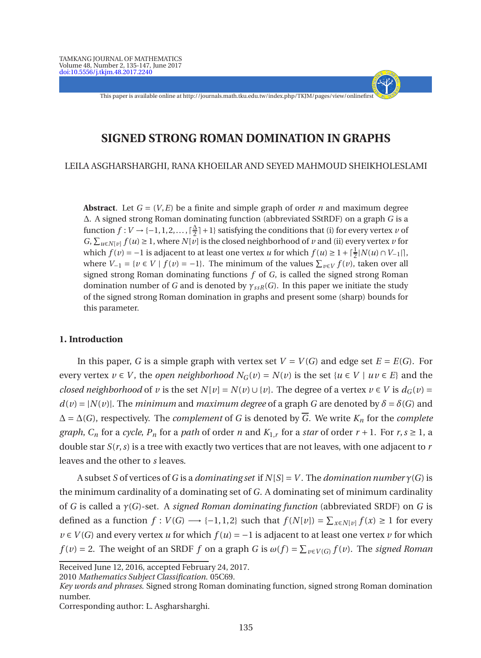This paper is available online at http://journals.math.tku.edu.tw/index.php/TKJM/pages/view/onlinefirst

- + - - - -

# **SIGNED STRONG ROMAN DOMINATION IN GRAPHS**

LEILA ASGHARSHARGHI, RANA KHOEILAR AND SEYED MAHMOUD SHEIKHOLESLAMI

**Abstract**. Let  $G = (V, E)$  be a finite and simple graph of order *n* and maximum degree ∆. A signed strong Roman dominating function (abbreviated SStRDF) on a graph *G* is a function  $f: V \rightarrow \{-1, 1, 2, \ldots, \lceil \frac{\Delta}{2} \rceil \}$  $\frac{\Delta}{2}$  | + 1} satisfying the conditions that (i) for every vertex *v* of *G*,  $\sum_{u \in N[v]} f(u) \ge 1$ , where  $N[v]$  is the closed neighborhood of *v* and (ii) every vertex *v* for which  $f(v) = -1$  is adjacent to at least one vertex *u* for which  $f(u) \geq 1 + \lceil \frac{1}{2} \rceil N(u) \cap V_{-1} \rceil$ , where  $V_{-1} = \{ v \in V \mid f(v) = -1 \}$ . The minimum of the values  $\sum_{v \in V} f(v)$ , taken over all signed strong Roman dominating functions *f* of *G*, is called the signed strong Roman domination number of *G* and is denoted by *γ*<sub>*ssR*</sub>(*G*). In this paper we initiate the study of the signed strong Roman domination in graphs and present some (sharp) bounds for this parameter.

### **1. Introduction**

In this paper, *G* is a simple graph with vertex set  $V = V(G)$  and edge set  $E = E(G)$ . For every vertex  $v \in V$ , the *open neighborhood*  $N_G(v) = N(v)$  is the set  $\{u \in V \mid uv \in E\}$  and the *closed neighborhood* of *v* is the set  $N[v] = N(v) \cup \{v\}$ . The degree of a vertex  $v \in V$  is  $d_G(v) =$  $d(v) = |N(v)|$ . The *minimum* and *maximum degree* of a graph *G* are denoted by  $\delta = \delta(G)$  and  $\Delta = \Delta(G)$ , respectively. The *complement* of *G* is denoted by  $\overline{G}$ . We write  $K_n$  for the *complete graph*,  $C_n$  for a *cycle*,  $P_n$  for a *path* of order *n* and  $K_{1,r}$  for a *star* of order  $r + 1$ . For  $r, s \ge 1$ , a double star *S*(*r*,*s*) is a tree with exactly two vertices that are not leaves, with one adjacent to *r* leaves and the other to *s* leaves.

A subset *S* of vertices of *G* is a *dominating set* if  $N|S| = V$ . The *domination number*  $\gamma(G)$  is the minimum cardinality of a dominating set of *G*. A dominating set of minimum cardinality of *G* is called a *γ*(*G*)-set. A *signed Roman dominating function* (abbreviated SRDF) on *G* is defined as a function *f* : *V*(*G*) → {−1,1,2} such that  $f(N[v]) = \sum_{x \in N[v]} f(x) \ge 1$  for every *v* ∈ *V*(*G*) and every vertex *u* for which  $f(u) = -1$  is adjacent to at least one vertex *v* for which *f*(*v*) = 2. The weight of an SRDF *f* on a graph *G* is  $\omega(f) = \sum_{v \in V(G)} f(v)$ . The *signed Roman* 

2010 *Mathematics Subject Classification*. 05C69.

Corresponding author: L. Asgharsharghi.

Received June 12, 2016, accepted February 24, 2017.

*Key words and phrases*. Signed strong Roman dominating function, signed strong Roman domination number.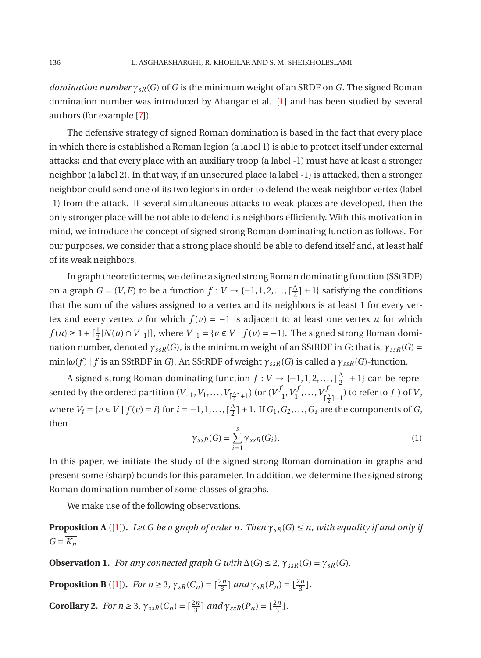*domination number γsR*(*G*) of *G* is the minimum weight of an SRDF on *G*. The signed Roman domination number was introduced by Ahangar et al. [\[1\]](#page-12-0) and has been studied by several authors (for example [\[7](#page-12-1)]).

The defensive strategy of signed Roman domination is based in the fact that every place in which there is established a Roman legion (a label 1) is able to protect itself under external attacks; and that every place with an auxiliary troop (a label -1) must have at least a stronger neighbor (a label 2). In that way, if an unsecured place (a label -1) is attacked, then a stronger neighbor could send one of its two legions in order to defend the weak neighbor vertex (label -1) from the attack. If several simultaneous attacks to weak places are developed, then the only stronger place will be not able to defend its neighbors efficiently. With this motivation in mind, we introduce the concept of signed strong Roman dominating function as follows. For our purposes, we consider that a strong place should be able to defend itself and, at least half of its weak neighbors.

In graph theoretic terms, we define a signed strong Roman dominating function (SStRDF) on a graph *G* = (*V*, *E*) to be a function  $f: V \rightarrow \{-1, 1, 2, \ldots, \lceil \frac{\Delta}{2} \rceil \}$  $\frac{\Delta}{2}$  + 1} satisfying the conditions that the sum of the values assigned to a vertex and its neighbors is at least 1 for every vertex and every vertex *v* for which  $f(v) = -1$  is adjacent to at least one vertex *u* for which *f*(*u*) ≥ 1 +  $\lceil \frac{1}{2} | N(u) \cap V_{-1} | \rceil$ , where  $V_{-1} = \{ v \in V \mid f(v) = -1 \}$ . The signed strong Roman domination number, denoted  $\gamma_{ssR}(G)$ , is the minimum weight of an SStRDF in *G*; that is,  $\gamma_{ssR}(G)$  =  $\min{\{\omega(f) \mid f \text{ is an SStRDF in } G\}}$ . An SStRDF of weight  $\gamma_{ssR}(G)$  is called a  $\gamma_{ssR}(G)$ -function.

A signed strong Roman dominating function  $f: V \to \{-1, 1, 2, \ldots, \lceil \frac{\Delta}{2} \rceil \}$  $\frac{\Delta}{2}$ ] + 1} can be represented by the ordered partition (*V*−1, *V*<sub>1</sub>,..., *V*<sub>ſ $\frac{\Delta}{2}$ ]+1</sub>) (or (*V*<sup>1</sup>  $V_{-1}^f, V_1^f$  $V_1^f, \ldots, V_j^f$  $\binom{rJ}{\lceil\frac{\Delta}{2}\rceil+1}$  to refer to  $f$  ) of  $V$ , where  $V_i = \{v \in V \mid f(v) = i\}$  for  $i = -1, 1, ..., \lceil \frac{\Delta}{2} \rceil + 1$ . If  $G_1, G_2, ..., G_s$  are  $\frac{\Delta}{2}$  | + 1. If  $G_1, G_2, ..., G_s$  are the components of *G*, then

$$
\gamma_{ssR}(G) = \sum_{i=1}^{s} \gamma_{ssR}(G_i). \tag{1}
$$

<span id="page-1-0"></span>In this paper, we initiate the study of the signed strong Roman domination in graphs and present some (sharp) bounds for this parameter. In addition, we determine the signed strong Roman domination number of some classes of graphs.

<span id="page-1-2"></span>We make use of the following observations.

**Proposition A** ([\[1\]](#page-12-0)). Let G be a graph of order n. Then  $\gamma_{sR}(G) \leq n$ , with equality if and only if  $G = \overline{K_n}$ .

<span id="page-1-1"></span>**Observation 1.** *For any connected graph G with*  $\Delta(G) \leq 2$ ,  $\gamma_{ssR}(G) = \gamma_{sR}(G)$ .

<span id="page-1-3"></span>**Proposition B** ([\[1\]](#page-12-0)). *For n* ≥ 3*,*  $\gamma_{sR}(C_n) = \lceil \frac{2n}{3} \rceil$  and  $\gamma_{sR}(P_n) = \lfloor \frac{2n}{3} \rfloor$ .

**Corollary 2.** *For n*  $\geq$  3*,*  $\gamma_{ssR}(C_n) = \lceil \frac{2n}{3} \rceil$  *and*  $\gamma_{ssR}(P_n) = \lfloor \frac{2n}{3} \rfloor$ *.*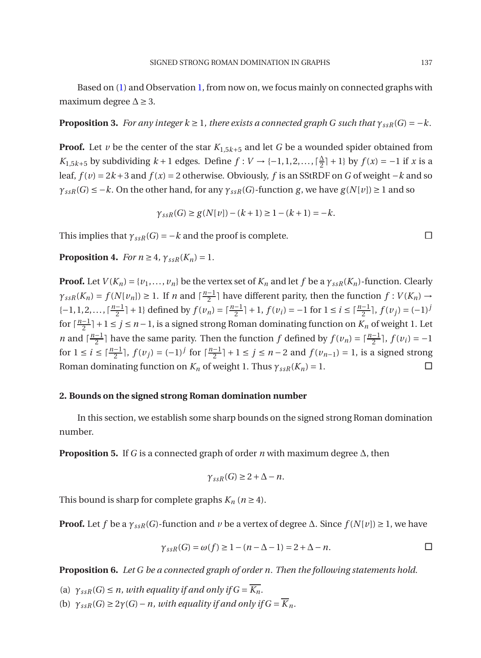Based on [\(1\)](#page-1-0) and Observation [1,](#page-1-1) from now on, we focus mainly on connected graphs with maximum degree  $\Delta \geq 3$ .

**Proposition 3.** *For any integer k*  $\geq$  1*, there exists a connected graph G such that*  $\gamma_{ssR}(G) = -k$ *.* 

**Proof.** Let *v* be the center of the star  $K_{1,5k+5}$  and let *G* be a wounded spider obtained from *K*<sub>1,5*k*+5</sub> by subdividing *k* + 1 edges. Define *f* : *V* → {-1,1,2,...,  $\lceil \frac{\Delta}{2} \rceil$  $\frac{\Delta}{2}$  + 1} by  $f(x) = -1$  if *x* is a leaf,  $f(v) = 2k + 3$  and  $f(x) = 2$  otherwise. Obviously, *f* is an SStRDF on *G* of weight −*k* and so  $\gamma_{ssR}(G) \leq -k$ . On the other hand, for any  $\gamma_{ssR}(G)$ -function *g*, we have  $g(N[v]) \geq 1$  and so

$$
\gamma_{ssR}(G) \ge g(N[v]) - (k+1) \ge 1 - (k+1) = -k.
$$

This implies that  $\gamma_{ssR}(G) = -k$  and the proof is complete.

**Proposition 4.** *For*  $n \geq 4$ ,  $\gamma_{ssR}(K_n) = 1$ .

**Proof.** Let  $V(K_n) = \{v_1, \ldots, v_n\}$  be the vertex set of  $K_n$  and let  $f$  be a  $\gamma_{ssR}(K_n)$ -function. Clearly  $\gamma_{ssR}(K_n) = f(N[v_n]) \geq 1$ . If *n* and  $\lceil \frac{n-1}{2} \rceil$  $\frac{1}{2}$ ] have different parity, then the function  $f: V(K_n) \to V(K_n)$  $\{-1, 1, 2, \ldots, \lceil \frac{n-1}{2} \rceil\}$  $\frac{n-1}{2}$ ,  $\frac{n-1}{2}$ ,  $f(v_j) = \frac{n-1}{2}$ ,  $f(v_j) = -1$  for  $1 \le i \le \frac{n-1}{2}$ ,  $f(v_j) = (-1)^j$ for  $\lceil \frac{n-1}{2} \rceil$ 2 ⌉+1 ≤ *j* ≤ *n* −1, is a signed strong Roman dominating function on *K<sup>n</sup>* of weight 1. Let *n* and  $\lceil \frac{n-1}{2} \rceil$  $\frac{1}{2}$ ] have the same parity. Then the function *f* defined by  $f(v_n) = \lceil \frac{n-1}{2} \rceil$ ,  $f(v_i) = -1$ for  $1 \le i \le \lceil \frac{n-1}{2} \rceil$ ,  $f(v_j) = (-1)^j$  for  $\lceil \frac{n-1}{2} \rceil$ 2 ⌉ + 1 ≤ *j* ≤ *n* − 2 and *f* (*vn*−1) = 1, is a signed strong Roman dominating function on  $K_n$  of weight 1. Thus  $\gamma_{ssR}(K_n) = 1$ .

## **2. Bounds on the signed strong Roman domination number**

In this section, we establish some sharp bounds on the signed strong Roman domination number.

**Proposition 5.** If *G* is a connected graph of order *n* with maximum degree ∆, then

$$
\gamma_{ssR}(G) \geq 2 + \Delta - n.
$$

This bound is sharp for complete graphs  $K_n$  ( $n \geq 4$ ).

**Proof.** Let *f* be a  $\gamma_{ssR}(G)$ -function and *v* be a vertex of degree  $\Delta$ . Since  $f(N[v]) \geq 1$ , we have

$$
\gamma_{ssR}(G) = \omega(f) \ge 1 - (n - \Delta - 1) = 2 + \Delta - n.
$$

**Proposition 6.** *Let G be a connected graph of order n. Then the following statements hold.*

(a)  $\gamma_{ssR}(G) \leq n$ , with equality if and only if  $G = \overline{K_n}$ .

(b)  $\gamma_{ssR}(G) \geq 2\gamma(G) - n$ , with equality if and only if  $G = \overline{K}_n$ .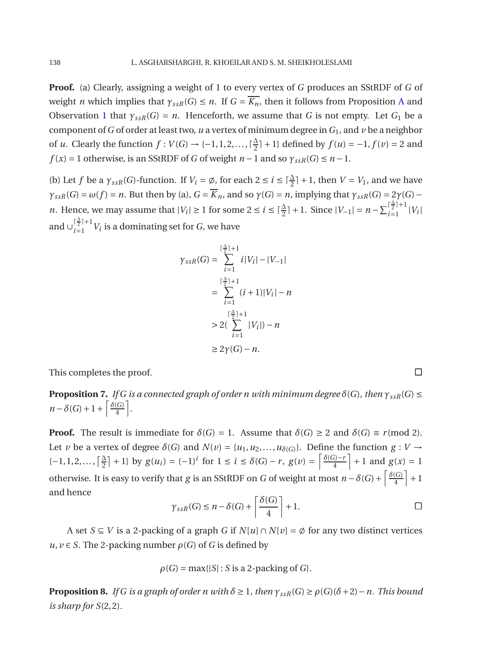**Proof.** (a) Clearly, assigning a weight of 1 to every vertex of *G* produces an SStRDF of *G* of weight *n* which implies that  $\gamma_{ssR}(G) \leq n$ . If  $G = \overline{K_n}$ , then it follows from Proposition [A](#page-1-2) and Observation [1](#page-1-1) that  $\gamma_{ssR}(G) = n$ . Henceforth, we assume that *G* is not empty. Let *G*<sub>1</sub> be a component of *G* of order at least two, *u* a vertex of minimum degree in  $G_1$ , and *v* be a neighbor of *u*. Clearly the function  $f: V(G) \rightarrow \{-1, 1, 2, \ldots, \lceil \frac{\Delta}{2} \rceil \}$  $\frac{\Delta}{2}$  | + 1} defined by  $f(u) = -1, f(v) = 2$  and  $f(x) = 1$  otherwise, is an SStRDF of *G* of weight  $n - 1$  and so  $\gamma_{ssR}(G) \leq n - 1$ .

(b) Let *f* be a  $\gamma_{ssR}(G)$ -function. If  $V_i = \emptyset$ , for each  $2 \le i \le \lceil \frac{\Delta}{2} \rceil + 1$ , then  $V = V_1$ , and we have  $\gamma_{ssR}(G) = \omega(f) = n$ . But then by (a),  $G = \overline{K}_n$ , and so  $\gamma(G) = n$ , implying that  $\gamma_{ssR}(G) = 2\gamma(G)$ *n*. Hence, we may assume that  $|V_i| \ge 1$  for some  $2 \le i \le \lceil \frac{\Delta}{2} \rceil + 1$ . Since  $|V_{-1}| = n - \sum_{i=1}^{\lceil \frac{\Delta}{2} \rceil + 1}$  $\binom{2}{i}$  |*V*<sub>*i*</sub> | and  $\bigcup_{i=1}^{\lceil \frac{\Delta}{2} \rceil + 1}$  $\sum_{i=1}^{n} V_i$  is a dominating set for *G*, we have

$$
\gamma_{ssR}(G) = \sum_{i=1}^{\lceil \frac{\Delta}{2} \rceil + 1} i|V_i| - |V_{-1}|
$$
  
= 
$$
\sum_{i=1}^{\lceil \frac{\Delta}{2} \rceil + 1} (i+1)|V_i| - n
$$
  
> 
$$
2(\sum_{i=1}^{\lceil \frac{\Delta}{2} \rceil + 1} |V_i|) - n
$$
  
\$\geq 2\gamma(G) - n.\$

This completes the proof.

**Proposition 7.** *If G is a connected graph of order n with minimum degree*  $\delta(G)$ *, then*  $\gamma_{ssR}(G) \leq$  $n - \delta(G) + 1 + \left\lceil \frac{\delta(G)}{4} \right\rceil$  $\left[\frac{G}{4}\right].$ 

**Proof.** The result is immediate for  $\delta(G) = 1$ . Assume that  $\delta(G) \geq 2$  and  $\delta(G) \equiv r \pmod{2}$ . Let *v* be a vertex of degree  $\delta(G)$  and  $N(v) = \{u_1, u_2, \ldots, u_{\delta(G)}\}$ . Define the function  $g: V \to$  $\{-1, 1, 2, \ldots, \lceil \frac{\Delta}{2} \rceil\}$  $\frac{\Delta}{2}$  + 1} by  $g(u_i) = (-1)^i$  for  $1 \le i \le \delta(G) - r$ ,  $g(v) = \frac{\delta(G) - r}{4}$  $\left[\frac{f(x)-r}{4}\right] + 1$  and  $g(x) = 1$ otherwise. It is easy to verify that *g* is an SStRDF on *G* of weight at most  $n - \delta(G) + \left[ \frac{\delta(G)}{4} \right]$  $\left(\frac{G}{4}\right]+1$ and hence

$$
\gamma_{ssR}(G) \le n - \delta(G) + \left\lceil \frac{\delta(G)}{4} \right\rceil + 1. \Box
$$

A set  $S \subseteq V$  is a 2-packing of a graph G if  $N[u] \cap N[v] = \emptyset$  for any two distinct vertices  $u, v \in S$ . The 2-packing number  $\rho(G)$  of *G* is defined by

$$
\rho(G) = \max\{|S| : S \text{ is a 2-packing of } G\}.
$$

**Proposition 8.** *If G is a graph of order n with*  $\delta \geq 1$ *, then*  $\gamma_{ssR}(G) \geq \rho(G)(\delta + 2) - n$ *. This bound is sharp for S*(2,2)*.*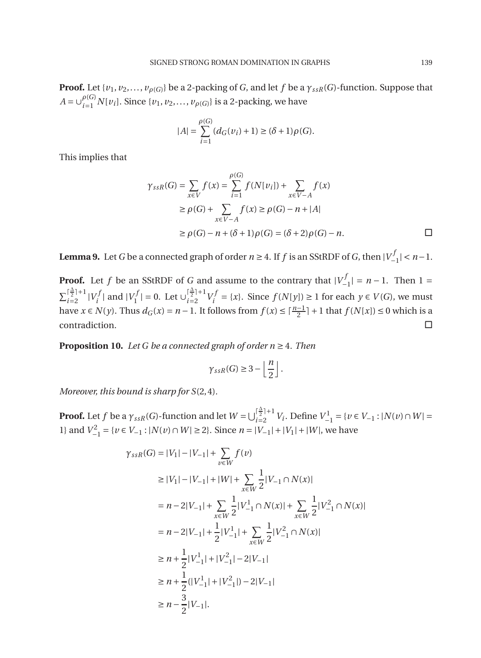**Proof.** Let  $\{v_1, v_2, \ldots, v_{\rho(G)}\}$  be a 2-packing of *G*, and let *f* be a  $\gamma_{ssR}(G)$ -function. Suppose that  $A = \bigcup_{i=1}^{p(G)}$  $\mathcal{U}_{i=1}^{(0)} N[v_i]$ . Since  $\{v_1, v_2, \ldots, v_{\rho(G)}\}$  is a 2-packing, we have

$$
|A| = \sum_{i=1}^{\rho(G)} (d_G(v_i) + 1) \ge (\delta + 1)\rho(G).
$$

This implies that

$$
\gamma_{ssR}(G) = \sum_{x \in V} f(x) = \sum_{i=1}^{\rho(G)} f(N[v_i]) + \sum_{x \in V - A} f(x)
$$
  
\n
$$
\geq \rho(G) + \sum_{x \in V - A} f(x) \geq \rho(G) - n + |A|
$$
  
\n
$$
\geq \rho(G) - n + (\delta + 1)\rho(G) = (\delta + 2)\rho(G) - n.
$$

<span id="page-4-0"></span>**Lemma 9.** Let *G* be a connected graph of order  $n \geq 4$ . If  $f$  is an SStRDF of *G*, then  $|V_{-}^{j}|$  $\binom{m}{-1}$  <  $n-1$ .

**Proof.** Let *f* be an SStRDF of *G* and assume to the contrary that  $|V_{-}^{j}|$  $|I_{-1}^{(1)}| = n - 1$ . Then 1 =  $\sum_{i=2}^{\lceil \frac{\Delta}{2} \rceil + 1}$  $\frac{|\frac{3}{2}|+1}{i=2}$   $|V_i^f|$  $|V_i^f|$  and  $|V_1^f|$  $|I_1^f| = 0.$  Let  $\bigcup_{i=2}^{\lceil \frac{\Delta}{2} \rceil + 1}$  $\frac{1}{2}$  $\frac{1}{2}$   $\frac{1}{2}$   $\frac{1}{2}$   $\frac{1}{2}$ *i*<sup> $'$ </sup> = {*x*}. Since *f* (*N*[*y*]) ≥ 1 for each *y* ∈ *V* (*G*), we must have *x* ∈ *N*(*y*). Thus  $d_G(x) = n - 1$ . It follows from  $f(x) \leq \lceil \frac{n-1}{2} \rceil + 1$  that  $f(N[x]) \leq 0$  which is a contradiction.  $\square$ 

<span id="page-4-1"></span>**Proposition 10.** *Let G be a connected graph of order n* ≥ 4*. Then*

$$
\gamma_{ssR}(G) \geq 3 - \left\lfloor \frac{n}{2} \right\rfloor.
$$

*Moreover, this bound is sharp for S*(2,4)*.*

**Proof.** Let *f* be a  $\gamma_{ssR}(G)$ -function and let  $W = \bigcup_{i=2}^{\lceil \frac{\Delta}{2} \rceil + 1}$  $V_{i=2}^{1}$ <sup>*i*</sup>  $\frac{1}{2}$  *V*<sup>*i*</sup>. Define  $V_{-1}^{1}$  = {*v* ∈ *V*−1 : |*N*(*v*)∩ *W*| = 1} and  $V_{-1}^2 = \{v \in V_{-1} : |N(v) \cap W| \ge 2\}$ . Since *n* = |*V*−1| + |*V*<sub>1</sub>| + |*W*|, we have

$$
\gamma_{ssR}(G) = |V_1| - |V_{-1}| + \sum_{v \in W} f(v)
$$
  
\n
$$
\geq |V_1| - |V_{-1}| + |W| + \sum_{x \in W} \frac{1}{2} |V_{-1} \cap N(x)|
$$
  
\n
$$
= n - 2|V_{-1}| + \sum_{x \in W} \frac{1}{2} |V_{-1}^1 \cap N(x)| + \sum_{x \in W} \frac{1}{2} |V_{-1}^2 \cap N(x)|
$$
  
\n
$$
= n - 2|V_{-1}| + \frac{1}{2} |V_{-1}^1| + \sum_{x \in W} \frac{1}{2} |V_{-1}^2 \cap N(x)|
$$
  
\n
$$
\geq n + \frac{1}{2} |V_{-1}^1| + |V_{-1}^2| - 2|V_{-1}|
$$
  
\n
$$
\geq n + \frac{1}{2} (|V_{-1}^1| + |V_{-1}^2|) - 2|V_{-1}|
$$
  
\n
$$
\geq n - \frac{3}{2} |V_{-1}|.
$$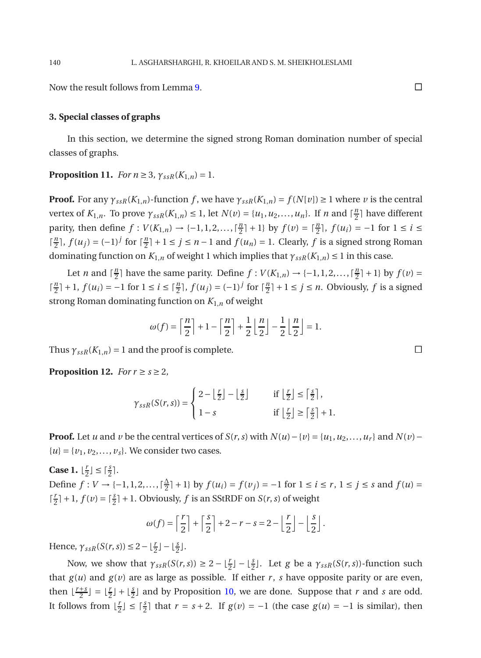Now the result follows from Lemma [9.](#page-4-0)

#### **3. Special classes of graphs**

<span id="page-5-0"></span>In this section, we determine the signed strong Roman domination number of special classes of graphs.

**Proposition 11.** *For*  $n \ge 3$ *,*  $\gamma_{ssR}(K_{1,n}) = 1$ .

**Proof.** For any  $\gamma_{ssR}(K_{1,n})$ -function *f*, we have  $\gamma_{ssR}(K_{1,n}) = f(N[v]) \ge 1$  where *v* is the central vertex of  $K_{1,n}$ . To prove  $\gamma_{ssR}(K_{1,n}) \leq 1$ , let  $N(v) = \{u_1, u_2, ..., u_n\}$ . If *n* and  $\lceil \frac{n}{2} \rceil$  $\frac{n}{2}$ ] have different parity, then define  $f: V(K_{1,n}) \to \{-1, 1, 2, ..., \lceil \frac{n}{2} \rceil \}$  $\left[\frac{n}{2} + 1\right]$  by  $f(v) = \left[\frac{n}{2}\right], f(u_i) = -1$  for  $1 \le i \le n$  $\lceil \frac{n}{2} \rceil$  $\frac{n}{2}$ ,  $f(u_j) = (-1)^j$  for  $\lceil \frac{n}{2} \rceil$  $\frac{n}{2}$ <sup>n</sup> + 1 ≤ *j* ≤ *n* − 1 and *f*(*u<sub>n</sub>*) = 1. Clearly, *f* is a signed strong Roman dominating function on  $K_{1,n}$  of weight 1 which implies that  $\gamma_{ssR}(K_{1,n}) \leq 1$  in this case.

Let *n* and  $\lceil \frac{n}{2} \rceil$  $\frac{n}{2}$  have the same parity. Define  $f: V(K_{1,n}) \to \{-1, 1, 2, \ldots, \lceil \frac{n}{2} \rceil \}$  $\frac{n}{2}$ [ + 1} by  $f(v) =$  $\lceil \frac{n}{2} \rceil$  $\frac{n}{2}$ | + 1,  $f(u_i) = -1$  for  $1 \le i \le \lceil \frac{n}{2} \rceil$ ,  $f(u_j) = (-1)^j$  for  $\lceil \frac{n}{2} \rceil$  $\frac{n}{2}$ | + 1 ≤ *j* ≤ *n*. Obviously, *f* is a signed strong Roman dominating function on *K*1,*<sup>n</sup>* of weight

$$
\omega(f) = \left\lceil \frac{n}{2} \right\rceil + 1 - \left\lceil \frac{n}{2} \right\rceil + \frac{1}{2} \left\lfloor \frac{n}{2} \right\rfloor - \frac{1}{2} \left\lfloor \frac{n}{2} \right\rfloor = 1.
$$

<span id="page-5-1"></span>Thus  $\gamma_{ssR}(K_{1,n}) = 1$  and the proof is complete.

**Proposition 12.** *For*  $r \ge s \ge 2$ *,* 

$$
\gamma_{ssR}(S(r,s)) = \begin{cases} 2 - \left\lfloor \frac{r}{2} \right\rfloor - \left\lfloor \frac{s}{2} \right\rfloor & \text{if } \left\lfloor \frac{r}{2} \right\rfloor \le \left\lceil \frac{s}{2} \right\rceil, \\ 1 - s & \text{if } \left\lfloor \frac{r}{2} \right\rfloor \ge \left\lceil \frac{s}{2} \right\rceil + 1. \end{cases}
$$

**Proof.** Let *u* and *v* be the central vertices of *S*(*r*, *s*) with  $N(u) - \{v\} = \{u_1, u_2, \dots, u_r\}$  and  $N(v) {u} = {v_1, v_2, ..., v_s}$ . We consider two cases.

**Case 1.**  $\lfloor \frac{r}{2} \rfloor$  $\frac{r}{2}$ ]  $\leq \lceil \frac{s}{2} \rceil$ .

Define  $f: V \rightarrow \{-1, 1, 2, \ldots, \lceil \frac{\Delta}{2} \rceil \}$  $\frac{\Delta}{2}$ | + 1} by  $f(u_i) = f(v_j) = -1$  for  $1 \le i \le r$ ,  $1 \le j \le s$  and  $f(u) =$  $\lceil \frac{l}{2} \rceil$  $\frac{r}{2}$ | + 1,  $f(v) = \lceil \frac{s}{2} \rceil$  + 1. Obviously,  $f$  is an SStRDF on  $S(r, s)$  of weight

$$
\omega(f) = \left\lceil \frac{r}{2} \right\rceil + \left\lceil \frac{s}{2} \right\rceil + 2 - r - s = 2 - \left\lfloor \frac{r}{2} \right\rfloor - \left\lfloor \frac{s}{2} \right\rfloor.
$$

Hence,  $\gamma_{ssR}(S(r,s)) \leq 2 - \lfloor \frac{r}{2} \rfloor - \lfloor \frac{s}{2} \rfloor$ .

Now, we show that  $\gamma_{ssR}(S(r,s)) \geq 2 - \lfloor \frac{r}{2} \rfloor - \lfloor \frac{s}{2} \rfloor$ . Let *g* be a  $\gamma_{ssR}(S(r,s))$ -function such that  $g(u)$  and  $g(v)$  are as large as possible. If either *r*, *s* have opposite parity or are even, then  $\lfloor \frac{r+s}{2} \rfloor$  $\frac{+s}{2}$  =  $\lfloor \frac{r}{2} \rfloor + \lfloor \frac{s}{2} \rfloor$  and by Proposition [10,](#page-4-1) we are done. Suppose that *r* and *s* are odd. It follows from  $\lfloor \frac{r}{2} \rfloor$  $\frac{r}{2}$  ≤  $\lceil \frac{s}{2} \rceil$  that  $r = s + 2$ . If  $g(v) = -1$  (the case  $g(u) = -1$  is similar), then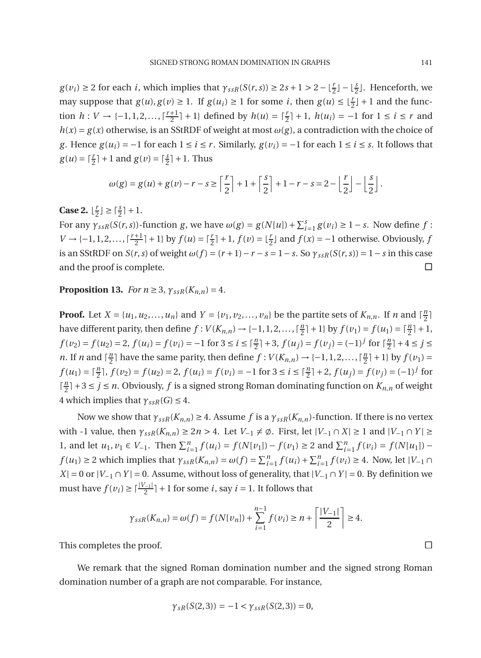$g(v_i) \geq 2$  for each *i*, which implies that  $\gamma_{ssR}(S(r,s)) \geq 2s + 1 > 2 - \lfloor \frac{r}{2} \rfloor - \lfloor \frac{s}{2} \rfloor$ . Henceforth, we may suppose that  $g(u), g(v) \ge 1$ . If  $g(u_i) \ge 1$  for some *i*, then  $g(u) \le \lfloor \frac{r}{2} \rfloor + 1$  and the function  $h: V \to \{-1, 1, 2, \ldots, \lceil \frac{r+1}{2} \rceil \}$  $\frac{1}{2}$ <sup>1</sup> + 1} defined by *h*(*u*) =  $\lceil \frac{r}{2} \rceil$  + 1, *h*(*u*<sub>*i*</sub>) = −1 for 1 ≤ *i* ≤ *r* and  $h(x) = g(x)$  otherwise, is an SStRDF of weight at most  $\omega(g)$ , a contradiction with the choice of *g*. Hence *g*(*u<sub>i</sub>*) = −1 for each 1 ≤ *i* ≤ *r*. Similarly, *g*(*v<sub>i</sub>*) = −1 for each 1 ≤ *i* ≤ *s*. It follows that  $g(u) = \lceil \frac{r}{2} \rceil + 1$  and  $g(v) = \lceil \frac{s}{2} \rceil + 1$ . Thus

$$
\omega(g) = g(u) + g(v) - r - s \ge \left\lfloor \frac{r}{2} \right\rfloor + 1 + \left\lceil \frac{s}{2} \right\rceil + 1 - r - s = 2 - \left\lfloor \frac{r}{2} \right\rfloor - \left\lfloor \frac{s}{2} \right\rfloor.
$$

**Case 2.**  $\lfloor \frac{l}{2} \rfloor$  $\lfloor \frac{r}{2} \rfloor \geq \lceil \frac{s}{2} \rceil + 1.$ 

For any  $\gamma_{ssR}(S(r,s))$ -function *g*, we have  $\omega(g) = g(N[u]) + \sum_{i=1}^{s} g(v_i) \ge 1 - s$ . Now define *f* :  $V \rightarrow \{-1, 1, 2, \ldots, \lceil \frac{r+1}{2} \rceil$  $\frac{1}{2}$ <sup>1</sup> + 1} by *f*(*u*) =  $\lceil \frac{r}{2} \rceil$  + 1, *f*(*v*) =  $\lfloor \frac{r}{2} \rfloor$  and *f*(*x*) = −1 otherwise. Obviously, *j* is an SStRDF on  $S(r, s)$  of weight  $\omega(f) = (r + 1) - r - s = 1 - s$ . So  $\gamma_{ssR}(S(r, s)) = 1 - s$  in this case and the proof is complete.

**Proposition 13.** *For*  $n \geq 3$ ,  $\gamma_{ssR}(K_{n,n}) = 4$ .

**Proof.** Let  $X = \{u_1, u_2, \dots, u_n\}$  and  $Y = \{v_1, v_2, \dots, v_n\}$  be the partite sets of  $K_{n,n}$ . If *n* and  $\lceil \frac{n}{2} \rceil$  $\frac{n}{2}$ ] have different parity, then define  $f: V(K_{n,n}) \to \{-1, 1, 2, \ldots, \lceil \frac{n}{2} \rceil \}$  $\frac{n}{2}$ | + 1} by  $f(v_1) = f(u_1) = \lceil \frac{n}{2} \rceil + 1$ ,  $f(v_2) = f(u_2) = 2$ ,  $f(u_i) = f(v_i) = -1$  for  $3 \le i \le \lceil \frac{n}{2} \rceil + 3$ ,  $f(u_j) = f(v_j) = (-1)^j$  for  $\lceil \frac{n}{2} \rceil$  $\frac{n}{2}$ ] + 4  $\leq j \leq$ *n*. If *n* and  $\lceil \frac{n}{2} \rceil$  $\frac{n}{2}$  have the same parity, then define  $f: V(K_{n,n}) \to \{-1, 1, 2, \ldots, \lceil \frac{n}{2} \rceil \}$  $\frac{n}{2}$ [+1} by  $f(v_1)$  =  $f(u_1) = \lceil \frac{n}{2} \rceil$ ,  $f(v_2) = f(u_2) = 2$ ,  $f(u_i) = f(v_i) = -1$  for  $3 \le i \le \lceil \frac{n}{2} \rceil + 2$ ,  $f(u_j) = f(v_j) = (-1)^j$  for  $\lceil \frac{n}{2} \rceil$  $\frac{n}{2}$ ] + 3  $\le$  *j*  $\le$  *n*. Obviously, *f* is a signed strong Roman dominating function on  $K_{n,n}$  of weight 4 which implies that  $\gamma_{ssR}(G) \leq 4$ .

Now we show that  $\gamma_{ssR}(K_{n,n}) \geq 4$ . Assume *f* is a  $\gamma_{ssR}(K_{n,n})$ -function. If there is no vertex with -1 value, then  $\gamma_{ssR}(K_{n,n}) \geq 2n > 4$ . Let  $V_{-1} \neq \emptyset$ . First, let  $|V_{-1} \cap X| \geq 1$  and  $|V_{-1} \cap Y| \geq$ 1, and let  $u_1, v_1 \in V_{-1}$ . Then  $\sum_{i=1}^{n} f(u_i) = f(N[v_1]) - f(v_1) \ge 2$  and  $\sum_{i=1}^{n} f(v_i) = f(N[u_1])$  $f(u_1) \ge 2$  which implies that  $\gamma_{ssR}(K_{n,n}) = \omega(f) = \sum_{i=1}^n f(u_i) + \sum_{i=1}^n f(v_i) \ge 4$ . Now, let  $|V_{-1} \cap V_{-1}|$  $X$ | = 0 or  $|V_{-1} \cap Y|$  = 0. Assume, without loss of generality, that  $|V_{-1} \cap Y|$  = 0. By definition we must have  $f(v_i) \ge \lceil \frac{|V_{-1}|}{2} \rceil + 1$  for some *i*, say *i* = 1. It follows that

$$
\gamma_{ssR}(K_{n,n}) = \omega(f) = f(N[\nu_n]) + \sum_{i=1}^{n-1} f(\nu_i) \ge n + \left\lceil \frac{|V_{-1}|}{2} \right\rceil \ge 4.
$$

This completes the proof.

We remark that the signed Roman domination number and the signed strong Roman domination number of a graph are not comparable. For instance,

$$
\gamma_{sR}(S(2,3)) = -1 < \gamma_{ssR}(S(2,3)) = 0,
$$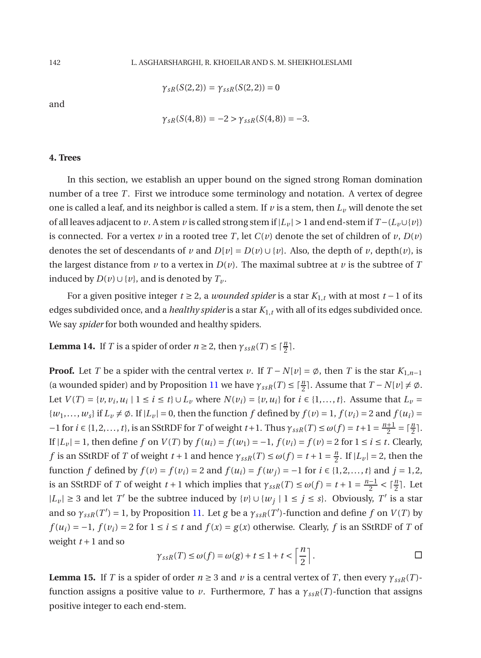$\gamma_{sR}(S(2,2)) = \gamma_{ssR}(S(2,2)) = 0$ 

and

$$
\gamma_{sR}(S(4,8)) = -2 > \gamma_{ssR}(S(4,8)) = -3.
$$

#### **4. Trees**

In this section, we establish an upper bound on the signed strong Roman domination number of a tree *T*. First we introduce some terminology and notation. A vertex of degree one is called a leaf, and its neighbor is called a stem. If  $\nu$  is a stem, then  $L_{\nu}$  will denote the set of all leaves adjacent to *v*. A stem *v* is called strong stem if  $|L_v| > 1$  and end-stem if  $T - (L_v \cup \{v\})$ is connected. For a vertex  $\nu$  in a rooted tree *T*, let  $C(\nu)$  denote the set of children of  $\nu$ ,  $D(\nu)$ denotes the set of descendants of *v* and  $D[v] = D(v) \cup \{v\}$ . Also, the depth of *v*, depth(*v*), is the largest distance from  $\nu$  to a vertex in  $D(\nu)$ . The maximal subtree at  $\nu$  is the subtree of  $T$ induced by *D*(*v*)∪{*v*}, and is denoted by  $T_v$ .

For a given positive integer *t* ≥ 2, a *wounded spider* is a star *K*1,*<sup>t</sup>* with at most *t* −1 of its edges subdivided once, and a *healthy spider* is a star *K*1,*<sup>t</sup>* with all of its edges subdivided once. We say *spider* for both wounded and healthy spiders.

<span id="page-7-0"></span>**Lemma 14.** If *T* is a spider of order  $n \ge 2$ , then  $\gamma_{ssR}(T) \le \lceil \frac{n}{2} \rceil$ .

**Proof.** Let *T* be a spider with the central vertex *v*. If  $T - N[v] = \emptyset$ , then *T* is the star  $K_{1,n-1}$ (a wounded spider) and by Proposition [11](#page-5-0) we have  $\gamma_{ssR}(T) \leq \lceil \frac{n}{2} \rceil$ . Assume that  $T - N[v] \neq \emptyset$ . Let  $V(T) = \{v, v_i, u_i \mid 1 \le i \le t\} \cup L_v$  where  $N(v_i) = \{v, u_i\}$  for  $i \in \{1, ..., t\}$ . Assume that  $L_v =$  $\{w_1, \ldots, w_s\}$  if  $L_v \neq \emptyset$ . If  $|L_v| = 0$ , then the function *f* defined by  $f(v) = 1$ ,  $f(v_i) = 2$  and  $f(u_i) = 1$  $-1$  for  $i \in \{1, 2, ..., t\}$ , is an SStRDF for *T* of weight  $t+1$ . Thus  $\gamma_{ssR}(T) \le \omega(f) = t+1 = \frac{n+1}{2}$  $rac{+1}{2} = \lceil \frac{n}{2} \rceil$ . If  $|L_v| = 1$ , then define *f* on *V*(*T*) by  $f(u_i) = f(w_1) = -1$ ,  $f(v_i) = f(v) = 2$  for  $1 ≤ i ≤ t$ . Clearly, *f* is an SStRDF of *T* of weight *t* + 1 and hence  $\gamma_{ssR}(T) \le \omega(f) = t + 1 = \frac{n}{2}$  $\frac{n}{2}$ . If  $|L_v| = 2$ , then the function *f* defined by  $f(v) = f(v_i) = 2$  and  $f(u_i) = f(w_j) = -1$  for  $i \in \{1, 2, ..., t\}$  and  $j = 1, 2$ , is an SStRDF of *T* of weight *t* + 1 which implies that  $\gamma_{ssR}(T) \le \omega(f) = t + 1 = \frac{n-1}{2}$  $\frac{-1}{2} < \lceil \frac{n}{2} \rceil$ . Let  $|L_v|$  ≥ 3 and let *T*<sup>*'*</sup> be the subtree induced by  $\{v\} \cup \{w_j | 1 \le j \le s\}$ . Obviously, *T'* is a star and so  $\gamma_{ssR}(T') = 1$ , by Proposition [11.](#page-5-0) Let *g* be a  $\gamma_{ssR}(T')$ -function and define *f* on *V*(*T*) by  $f(u_i) = -1$ ,  $f(v_i) = 2$  for  $1 \le i \le t$  and  $f(x) = g(x)$  otherwise. Clearly, *f* is an SStRDF of *T* of weight  $t+1$  and so

$$
\gamma_{ssR}(T) \le \omega(f) = \omega(g) + t \le 1 + t < \left\lceil \frac{n}{2} \right\rceil. \qquad \Box
$$

<span id="page-7-1"></span>**Lemma 15.** If *T* is a spider of order  $n \geq 3$  and *v* is a central vertex of *T*, then every  $\gamma_{ssR}(T)$ function assigns a positive value to *v*. Furthermore, *T* has a  $\gamma_{ssR}(T)$ -function that assigns positive integer to each end-stem.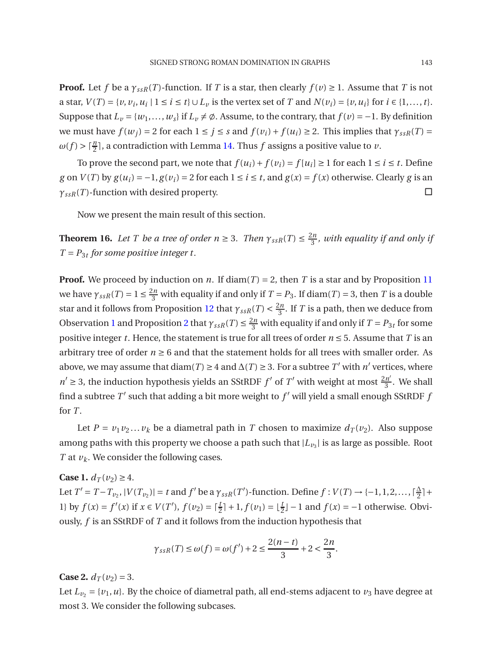**Proof.** Let *f* be a  $\gamma_{ssR}(T)$ -function. If *T* is a star, then clearly  $f(v) \geq 1$ . Assume that *T* is not a star,  $V(T) = \{v, v_i, u_i \mid 1 \le i \le t\} \cup L_v$  is the vertex set of T and  $N(v_i) = \{v, u_i\}$  for  $i \in \{1, ..., t\}$ . Suppose that  $L_v = \{w_1, \ldots, w_s\}$  if  $L_v \neq \emptyset$ . Assume, to the contrary, that  $f(v) = -1$ . By definition we must have  $f(w_i) = 2$  for each  $1 \leq j \leq s$  and  $f(v_i) + f(u_i) \geq 2$ . This implies that  $\gamma_{ssR}(T) =$  $\omega(f) > \lceil \frac{n}{2} \rceil$ , a contradiction with Lemma [14.](#page-7-0) Thus *f* assigns a positive value to *v*.

To prove the second part, we note that  $f(u_i) + f(v_i) = f[u_i] \ge 1$  for each  $1 \le i \le t$ . Define *g* on *V*(*T*) by  $g(u_i) = -1$ ,  $g(v_i) = 2$  for each  $1 \le i \le t$ , and  $g(x) = f(x)$  otherwise. Clearly *g* is an  $\gamma_{ssR}(T)$ -function with desired property.

Now we present the main result of this section.

**Theorem 16.** *Let T be a tree of order*  $n \geq 3$ *. Then*  $\gamma_{ssR}(T) \leq \frac{2n}{3}$  $\frac{5n}{3}$ , with equality if and only if  $T = P_{3t}$  for some positive integer t.

**Proof.** We proceed by induction on *n*. If diam(*T*) = 2, then *T* is a star and by Proposition [11](#page-5-0) we have  $\gamma_{ssR}(T) = 1 \le \frac{2n}{3}$  with equality if and only if  $T = P_3$ . If diam(*T*) = 3, then *T* is a double star and it follows from Proposition [12](#page-5-1) that  $\gamma_{ssR}(T) < \frac{2n}{3}$  $\frac{5n}{3}$ . If *T* is a path, then we deduce from Observation [1](#page-1-1) and Proposition [2](#page-1-3) that  $\gamma_{ssR}(T) \leq \frac{2n}{3}$  with equality if and only if  $T = P_{3t}$  for some positive integer *t*. Hence, the statement is true for all trees of order  $n \le 5$ . Assume that *T* is an arbitrary tree of order  $n \geq 6$  and that the statement holds for all trees with smaller order. As above, we may assume that diam(*T*) ≥ 4 and  $\Delta(T)$  ≥ 3. For a subtree *T'* with *n'* vertices, where  $n' \geq 3$ , the induction hypothesis yields an SStRDF *f*' of *T*' with weight at most  $\frac{2n'}{3}$  $\frac{3}{3}$ . We shall find a subtree  $T'$  such that adding a bit more weight to  $f'$  will yield a small enough SStRDF  $f$ for *T*.

Let  $P = v_1v_2...v_k$  be a diametral path in *T* chosen to maximize  $d_T(v_2)$ . Also suppose among paths with this property we choose a path such that  $|L_{\nu_3}|$  is as large as possible. Root *T* at *vk*. We consider the following cases.

## **Case 1.**  $d_T(v_2) \geq 4$ .

Let  $T' = T - T_{v_2}$ ,  $|V(T_{v_2})| = t$  and  $f'$  be a  $\gamma_{ssR}(T')$ -function. Define  $f: V(T) \to \{-1, 1, 2, ..., \lceil \frac{\Delta}{2} \rceil \}$  $\frac{4}{2}$ ] + 1} by *f*(*x*) = *f*'(*x*) if *x* ∈ *V*(*T*'), *f*(*v*<sub>2</sub>) =  $\lceil \frac{t}{2} \rceil$  + 1, *f*(*v*<sub>1</sub>) =  $\lfloor \frac{t}{2} \rfloor$  − 1 and *f*(*x*) = −1 otherwise. Obviously, *f* is an SStRDF of *T* and it follows from the induction hypothesis that

$$
\gamma_{ssR}(T) \le \omega(f) = \omega(f') + 2 \le \frac{2(n-t)}{3} + 2 < \frac{2n}{3}.
$$

**Case 2.**  $d_T(v_2) = 3$ .

Let  $L_{v_2} = \{v_1, u\}$ . By the choice of diametral path, all end-stems adjacent to  $v_3$  have degree at most 3. We consider the following subcases.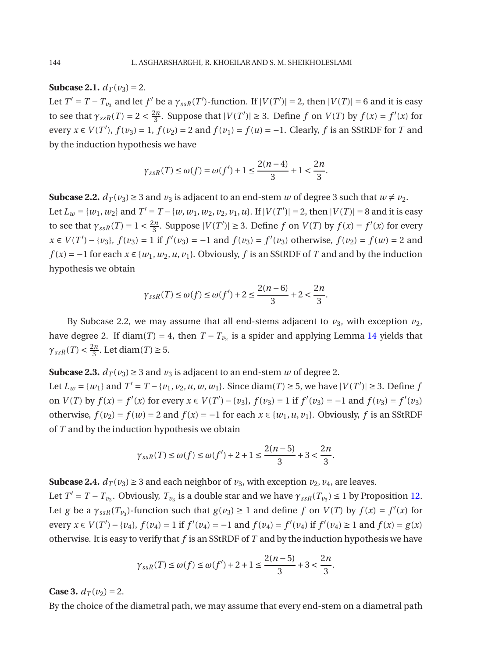**Subcase 2.1.**  $d_T(v_3) = 2$ .

Let  $T' = T - T_{\nu_3}$  and let  $f'$  be a  $\gamma_{ssR}(T')$ -function. If  $|V(T')| = 2$ , then  $|V(T)| = 6$  and it is easy to see that  $\gamma_{ssR}(T) = 2 < \frac{2n}{3}$  $\frac{2n}{3}$ . Suppose that  $|V(T')| \ge 3$ . Define *f* on  $V(T)$  by  $f(x) = f'(x)$  for every *x* ∈ *V*(*T'*), *f*(*v*<sub>3</sub>) = 1, *f*(*v*<sub>2</sub>) = 2 and *f*(*v*<sub>1</sub>) = *f*(*u*) = −1. Clearly, *f* is an SStRDF for *T* and by the induction hypothesis we have

$$
\gamma_{ssR}(T) \le \omega(f) = \omega(f') + 1 \le \frac{2(n-4)}{3} + 1 < \frac{2n}{3}
$$

**Subcase 2.2.**  $d_T(v_3) \geq 3$  and  $v_3$  is adjacent to an end-stem *w* of degree 3 such that  $w \neq v_2$ . Let  $L_w = \{w_1, w_2\}$  and  $T' = T - \{w, w_1, w_2, v_2, v_1, u\}$ . If  $|V(T')| = 2$ , then  $|V(T)| = 8$  and it is easy to see that  $\gamma_{ssR}(T) = 1 < \frac{2n}{3}$  $\frac{2n}{3}$ . Suppose  $|V(T')| \ge 3$ . Define *f* on  $V(T)$  by  $f(x) = f'(x)$  for every *x* ∈ *V*(*T*<sup>'</sup>) − {*v*<sub>3</sub>}, *f*(*v*<sub>3</sub>) = 1 if *f*<sup>'</sup>(*v*<sub>3</sub>) = −1 and *f*(*v*<sub>3</sub>) = *f*<sup>'</sup>(*v*<sub>3</sub>) otherwise, *f*(*v*<sub>2</sub>) = *f*(*w*) = 2 and *f* (*x*) = −1 for each *x* ∈ {*w*<sub>1</sub>, *w*<sub>2</sub>, *u*, *v*<sub>1</sub>}. Obviously, *f* is an SStRDF of *T* and and by the induction hypothesis we obtain

$$
\gamma_{ssR}(T) \le \omega(f) \le \omega(f') + 2 \le \frac{2(n-6)}{3} + 2 < \frac{2n}{3}.
$$

By Subcase 2.2, we may assume that all end-stems adjacent to  $v_3$ , with exception  $v_2$ , have degree 2. If diam(*T*) = 4, then  $T - T_{\nu_2}$  is a spider and applying Lemma [14](#page-7-0) yields that  $\gamma_{ssR}(T) < \frac{2n}{3}$  $\frac{2n}{3}$ . Let diam(*T*)  $\geq 5$ .

**Subcase 2.3.**  $d_T(v_3) \geq 3$  and  $v_3$  is adjacent to an end-stem *w* of degree 2. Let  $L_w = \{w_1\}$  and  $T' = T - \{v_1, v_2, u, w, w_1\}$ . Since diam(*T*) ≥ 5, we have  $|V(T')| \ge 3$ . Define *f* on  $V(T)$  by  $f(x) = f'(x)$  for every  $x \in V(T') - \{v_3\}$ ,  $f(v_3) = 1$  if  $f'(v_3) = -1$  and  $f(v_3) = f'(v_3)$ otherwise,  $f(v_2) = f(w) = 2$  and  $f(x) = -1$  for each  $x \in \{w_1, u, v_1\}$ . Obviously, f is an SStRDF of *T* and by the induction hypothesis we obtain

$$
\gamma_{ssR}(T) \le \omega(f) \le \omega(f') + 2 + 1 \le \frac{2(n-5)}{3} + 3 < \frac{2n}{3}
$$

**Subcase 2.4.**  $d_T(v_3) \geq 3$  and each neighbor of  $v_3$ , with exception  $v_2$ ,  $v_4$ , are leaves.

Let  $T' = T - T_{\nu_3}$ . Obviously,  $T_{\nu_3}$  is a double star and we have  $\gamma_{ssR}(T_{\nu_3}) \le 1$  by Proposition [12.](#page-5-1) Let *g* be a  $\gamma_{ssR}(T_{\nu_3})$ -function such that  $g(\nu_3) \ge 1$  and define *f* on  $V(T)$  by  $f(x) = f'(x)$  for every  $x \in V(T') - \{v_4\}$ ,  $f(v_4) = 1$  if  $f'(v_4) = -1$  and  $f(v_4) = f'(v_4)$  if  $f'(v_4) \ge 1$  and  $f(x) = g(x)$ otherwise. It is easy to verify that *f* is an SStRDF of *T* and by the induction hypothesis we have

$$
\gamma_{ssR}(T) \le \omega(f) \le \omega(f') + 2 + 1 \le \frac{2(n-5)}{3} + 3 < \frac{2n}{3}.
$$

**Case 3.**  $d_T(v_2) = 2$ .

By the choice of the diametral path, we may assume that every end-stem on a diametral path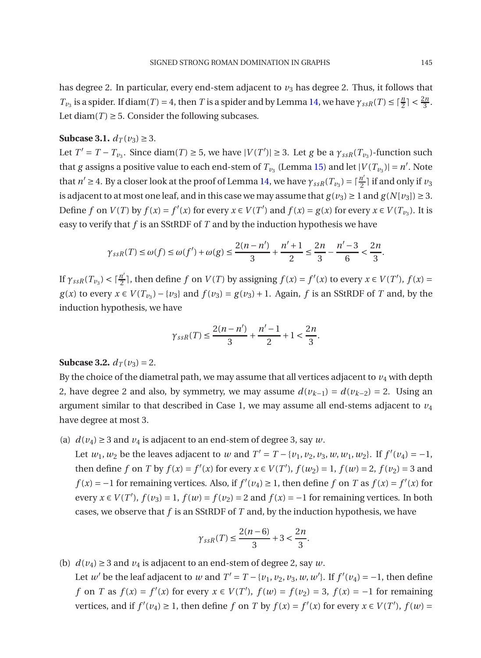has degree 2. In particular, every end-stem adjacent to  $v_3$  has degree 2. Thus, it follows that *T*<sub>*v*3</sub> is a spider. If diam(*T*) = 4, then *T* is a spider and by Lemma [14,](#page-7-0) we have  $\gamma_{ssR}(T) \leq \lceil \frac{n}{2} \rceil < \frac{2n}{3}$ . Let diam( $T$ )  $\geq$  5. Consider the following subcases.

## **Subcase 3.1.**  $d_T(v_3) ≥ 3$ .

Let  $T' = T - T_{\nu_3}$ . Since diam(*T*)  $\geq$  5, we have  $|V(T')| \geq$  3. Let *g* be a  $\gamma_{ssR}(T_{\nu_3})$ -function such that *g* assigns a positive value to each end-stem of  $T_{\nu_3}$  (Lemma [15\)](#page-7-1) and let  $|V(T_{\nu_3})| = n'$ . Note that  $n' \geq 4$ . By a closer look at the proof of Lemma [14,](#page-7-0) we have  $\gamma_{ssR}(T_{\nu_3}) = \lceil \frac{n'}{2} \rceil$  $\frac{n}{2}$ ] if and only if  $\nu_3$ is adjacent to at most one leaf, and in this case we may assume that  $g(v_3) \ge 1$  and  $g(N[v_3]) \ge 3$ . Define f on  $V(T)$  by  $f(x) = f'(x)$  for every  $x \in V(T')$  and  $f(x) = g(x)$  for every  $x \in V(T_{\nu_3})$ . It is easy to verify that *f* is an SStRDF of *T* and by the induction hypothesis we have

$$
\gamma_{ssR}(T) \le \omega(f) \le \omega(f') + \omega(g) \le \frac{2(n - n')}{3} + \frac{n' + 1}{2} \le \frac{2n}{3} - \frac{n' - 3}{6} < \frac{2n}{3}.
$$

If  $\gamma_{ssR}(T_{\nu_3}) < \lceil \frac{n'}{2} \rceil$  $\frac{n'}{2}$ , then define *f* on *V*(*T*) by assigning  $f(x) = f'(x)$  to every  $x \in V(T')$ ,  $f(x) =$ *g*(*x*) to every *x* ∈ *V*( $T_{v_3}$ ) − {*v*<sub>3</sub>} and  $f(v_3) = g(v_3) + 1$ . Again, *f* is an SStRDF of *T* and, by the induction hypothesis, we have

$$
\gamma_{ssR}(T) \le \frac{2(n-n')}{3} + \frac{n'-1}{2} + 1 < \frac{2n}{3}.
$$

## **Subcase 3.2.**  $d_T(v_3) = 2$ .

By the choice of the diametral path, we may assume that all vertices adjacent to  $v_4$  with depth 2, have degree 2 and also, by symmetry, we may assume  $d(v_{k-1}) = d(v_{k-2}) = 2$ . Using an argument similar to that described in Case 1, we may assume all end-stems adjacent to  $v_4$ have degree at most 3.

(a)  $d(v_4) \geq 3$  and  $v_4$  is adjacent to an end-stem of degree 3, say *w*.

Let  $w_1, w_2$  be the leaves adjacent to *w* and  $T' = T - \{v_1, v_2, v_3, w, w_1, w_2\}$ . If  $f'(v_4) = -1$ , then define *f* on *T* by  $f(x) = f'(x)$  for every  $x \in V(T')$ ,  $f(w_2) = 1$ ,  $f(w) = 2$ ,  $f(v_2) = 3$  and *f*(*x*) = −1 for remaining vertices. Also, if  $f'(v_4) \ge 1$ , then define *f* on *T* as  $f(x) = f'(x)$  for every  $x \in V(T')$ ,  $f(v_3) = 1$ ,  $f(w) = f(v_2) = 2$  and  $f(x) = -1$  for remaining vertices. In both cases, we observe that *f* is an SStRDF of *T* and, by the induction hypothesis, we have

$$
\gamma_{ssR}(T) \le \frac{2(n-6)}{3} + 3 < \frac{2n}{3}.
$$

(b)  $d(v_4) \geq 3$  and  $v_4$  is adjacent to an end-stem of degree 2, say *w*. Let *w'* be the leaf adjacent to *w* and  $T' = T - \{v_1, v_2, v_3, w, w'\}$ . If  $f'(v_4) = -1$ , then define *f* on *T* as  $f(x) = f'(x)$  for every  $x \in V(T')$ ,  $f(w) = f(v_2) = 3$ ,  $f(x) = -1$  for remaining vertices, and if  $f'(v_4) \ge 1$ , then define  $f$  on  $T$  by  $f(x) = f'(x)$  for every  $x \in V(T')$ ,  $f(w) =$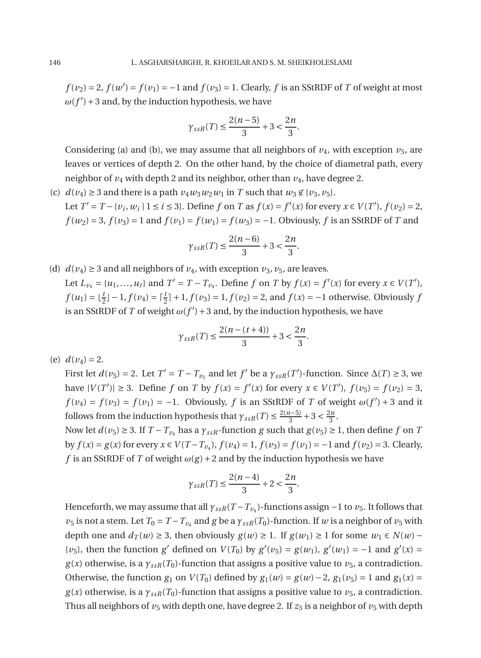$f(v_2) = 2$ ,  $f(w') = f(v_1) = -1$  and  $f(v_3) = 1$ . Clearly,  $f$  is an SStRDF of  $T$  of weight at most  $\omega(f')$  + 3 and, by the induction hypothesis, we have

$$
\gamma_{ssR}(T) \le \frac{2(n-5)}{3} + 3 < \frac{2n}{3}.
$$

Considering (a) and (b), we may assume that all neighbors of  $v_4$ , with exception  $v_5$ , are leaves or vertices of depth 2. On the other hand, by the choice of diametral path, every neighbor of  $v_4$  with depth 2 and its neighbor, other than  $v_4$ , have degree 2.

(c)  $d(v_4) \geq 3$  and there is a path  $v_4w_3w_2w_1$  in *T* such that  $w_3 \notin \{v_3, v_5\}$ . Let  $T' = T - \{v_i, w_i \mid 1 \le i \le 3\}$ . Define f on T as  $f(x) = f'(x)$  for every  $x \in V(T')$ ,  $f(v_2) = 2$ ,  $f(w_2) = 3$ ,  $f(v_3) = 1$  and  $f(v_1) = f(w_1) = f(w_3) = -1$ . Obviously, *f* is an SStRDF of *T* and

$$
\gamma_{ssR}(T) \le \frac{2(n-6)}{3} + 3 < \frac{2n}{3}.
$$

(d)  $d(v_4) \geq 3$  and all neighbors of  $v_4$ , with exception  $v_3$ ,  $v_5$ , are leaves. Let  $L_{\nu_4} = \{u_1, \dots, u_t\}$  and  $T' = T - T_{\nu_4}$ . Define f on T by  $f(x) = f'(x)$  for every  $x \in V(T')$ ,  $f(u_1) = \lfloor \frac{t}{2} \rfloor - 1, f(v_4) = \lceil \frac{t}{2} \rceil + 1, f(v_3) = 1, f(v_2) = 2$ , and  $f(x) = -1$  otherwise. Obviously *f* is an SStRDF of *T* of weight  $\omega(f') + 3$  and, by the induction hypothesis, we have

$$
\gamma_{ssR}(T) \le \frac{2(n - (t + 4))}{3} + 3 < \frac{2n}{3}.
$$

(e)  $d(v_4) = 2$ .

First let  $d(v_5) = 2$ . Let  $T' = T - T_{v_5}$  and let  $f'$  be a  $\gamma_{ssR}(T')$ -function. Since  $\Delta(T) \ge 3$ , we have  $|V(T')|$  ≥ 3. Define *f* on *T* by  $f(x) = f'(x)$  for every  $x \in V(T')$ ,  $f(v_5) = f(v_2) = 3$ ,  $f(v_4) = f(v_3) = f(v_1) = -1$ . Obviously, *f* is an SStRDF of *T* of weight  $\omega(f') + 3$  and it follows from the induction hypothesis that  $\gamma_{ssR}(T) \leq \frac{2(n-5)}{3}$  $\frac{1}{3}$  + 3 <  $\frac{2n}{3}$  $rac{n}{3}$ .

Now let  $d(v_5) \geq 3$ . If  $T - T_{v_4}$  has a  $\gamma_{ssR}$ -function *g* such that  $g(v_5) \geq 1$ , then define *f* on *T* by *f*(*x*) = *g*(*x*) for every *x* ∈ *V*(*T* − *T*<sub>*v*4</sub>), *f*(*v*<sub>4</sub>) = 1, *f*(*v*<sub>3</sub>) = *f*(*v*<sub>1</sub>) = −1 and *f*(*v*<sub>2</sub>) = 3. Clearly, *f* is an SStRDF of *T* of weight  $\omega(g) + 2$  and by the induction hypothesis we have

$$
\gamma_{ssR}(T) \le \frac{2(n-4)}{3} + 2 < \frac{2n}{3}.
$$

Henceforth, we may assume that all *γssR*(*T* −*Tv*<sup>4</sup> )-functions assign −1 to *v*5. It follows that *v*<sub>5</sub> is not a stem. Let  $T_0 = T - T_{\nu_4}$  and *g* be a  $\gamma_{ssR}(T_0)$ -function. If *w* is a neighbor of  $\nu_5$  with depth one and  $d_T(w) \geq 3$ , then obviously  $g(w) \geq 1$ . If  $g(w_1) \geq 1$  for some  $w_1 \in N(w)$  − {*v*<sub>5</sub>}, then the function *g*<sup>'</sup> defined on *V*(*T*<sub>0</sub>) by *g*<sup>'</sup>(*v*<sub>5</sub>) = *g*(*w*<sub>1</sub>), *g*<sup>'</sup>(*w*<sub>1</sub>) = −1 and *g*<sup>'</sup>(*x*) = *g*(*x*) otherwise, is a  $\gamma_{ssR}(T_0)$ -function that assigns a positive value to  $v_5$ , a contradiction. Otherwise, the function  $g_1$  on  $V(T_0)$  defined by  $g_1(w) = g(w) - 2$ ,  $g_1(v_5) = 1$  and  $g_1(x) = 0$  $g(x)$  otherwise, is a  $\gamma_{ssR}(T_0)$ -function that assigns a positive value to  $v_5$ , a contradiction. Thus all neighbors of  $v_5$  with depth one, have degree 2. If  $z_3$  is a neighbor of  $v_5$  with depth